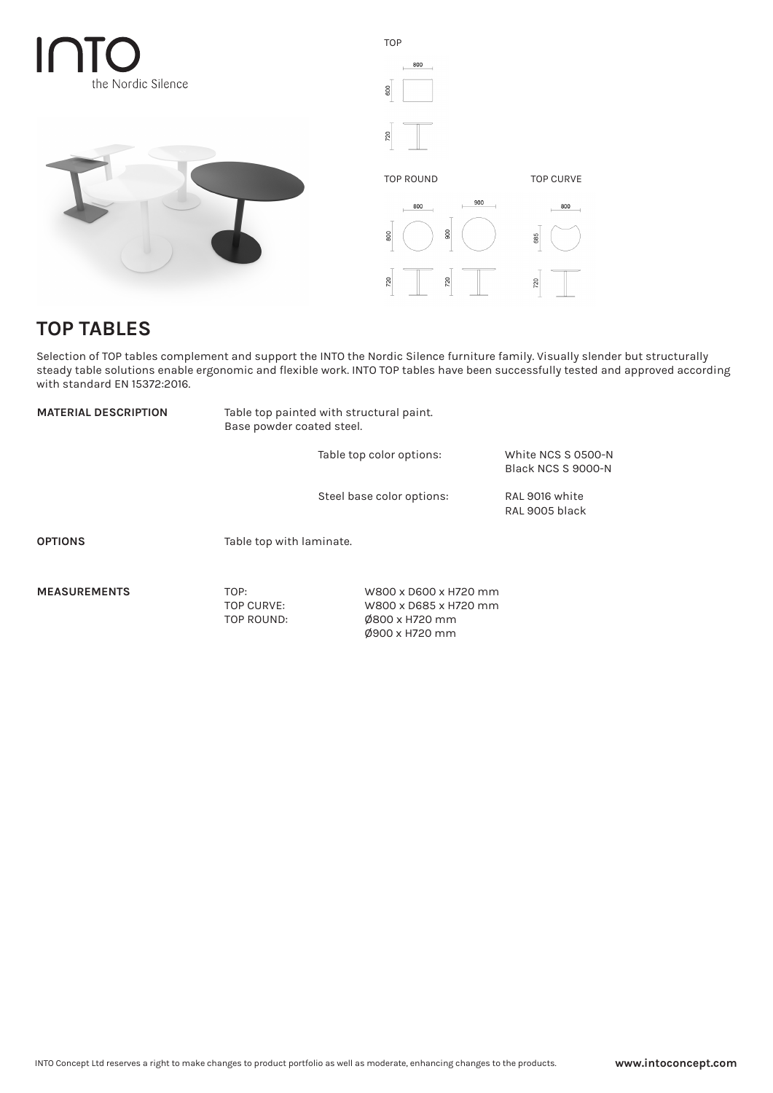





## **TOP TABLES**

Selection of TOP tables complement and support the INTO the Nordic Silence furniture family. Visually slender but structurally steady table solutions enable ergonomic and flexible work. INTO TOP tables have been successfully tested and approved according with standard EN 15372:2016.

| <b>MATERIAL DESCRIPTION</b> | Table top painted with structural paint.<br>Base powder coated steel. |                                                |                                          |
|-----------------------------|-----------------------------------------------------------------------|------------------------------------------------|------------------------------------------|
|                             |                                                                       | Table top color options:                       | White NCS S 0500-N<br>Black NCS S 9000-N |
|                             |                                                                       | Steel base color options:                      | RAL 9016 white<br>RAL 9005 black         |
| <b>OPTIONS</b>              | Table top with laminate.                                              |                                                |                                          |
| <b>MEASUREMENTS</b>         | TOP:<br><b>TOP CURVE:</b>                                             | W800 x D600 x H720 mm<br>W800 x D685 x H720 mm |                                          |

TOP ROUND: Ø800 x H720 mm

Ø900 x H720 mm